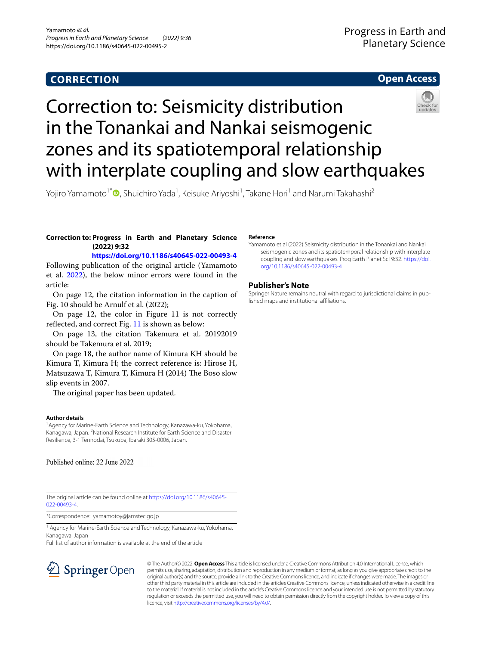## **CORRECTION**



# Correction to: Seismicity distribution in the Tonankai and Nankai seismogenic zones and its spatiotemporal relationship with interplate coupling and slow earthquakes

Yojiro Yamamoto<sup>1\*</sup>®[,](http://orcid.org/0000-0002-0224-8603) Shuichiro Yada<sup>1</sup>, Keisuke Ariyoshi<sup>1</sup>, Takane Hori<sup>1</sup> and Narumi Takahashi<sup>2</sup>

### **Correction to: Progress in Earth and Planetary Science (2022) 9:32**

**<https://doi.org/10.1186/s40645-022-00493-4>**

Following publication of the original article (Yamamoto et al. [2022](#page-0-0)), the below minor errors were found in the article:

On page 12, the citation information in the caption of Fig. 10 should be Arnulf et al. (2022);

On page 12, the color in Figure 11 is not correctly refected, and correct Fig. [11](#page-1-0) is shown as below:

On page 13, the citation Takemura et al. 20192019 should be Takemura et al. 2019;

On page 18, the author name of Kimura KH should be Kimura T, Kimura H; the correct reference is: Hirose H, Matsuzawa T, Kimura T, Kimura H (2014) The Boso slow slip events in 2007.

The original paper has been updated.

#### **Author details**

<sup>1</sup> Agency for Marine-Earth Science and Technology, Kanazawa-ku, Yokohama, Kanagawa, Japan. <sup>2</sup> National Research Institute for Earth Science and Disaster Resilience, 3-1 Tennodai, Tsukuba, Ibaraki 305-0006, Japan.

Published online: 22 June 2022

The original article can be found online at [https://doi.org/10.1186/s40645-](https://doi.org/10.1186/s40645-022-00493-4) [022-00493-4](https://doi.org/10.1186/s40645-022-00493-4).

\*Correspondence: yamamotoy@jamstec.go.jp

<sup>1</sup> Agency for Marine-Earth Science and Technology, Kanazawa-ku, Yokohama, Kanagawa, Japan

Full list of author information is available at the end of the article



© The Author(s) 2022. **Open Access** This article is licensed under a Creative Commons Attribution 4.0 International License, which permits use, sharing, adaptation, distribution and reproduction in any medium or format, as long as you give appropriate credit to the original author(s) and the source, provide a link to the Creative Commons licence, and indicate if changes were made. The images or other third party material in this article are included in the article's Creative Commons licence, unless indicated otherwise in a credit line to the material. If material is not included in the article's Creative Commons licence and your intended use is not permitted by statutory regulation or exceeds the permitted use, you will need to obtain permission directly from the copyright holder. To view a copy of this licence, visit [http://creativecommons.org/licenses/by/4.0/.](http://creativecommons.org/licenses/by/4.0/)

#### **Reference**

<span id="page-0-0"></span>Yamamoto et al (2022) Seismicity distribution in the Tonankai and Nankai seismogenic zones and its spatiotemporal relationship with interplate coupling and slow earthquakes. Prog Earth Planet Sci 9:32. [https://doi.](https://doi.org/10.1186/s40645-022-00493-4) [org/10.1186/s40645-022-00493-4](https://doi.org/10.1186/s40645-022-00493-4)

#### **Publisher's Note**

Springer Nature remains neutral with regard to jurisdictional claims in published maps and institutional afliations.